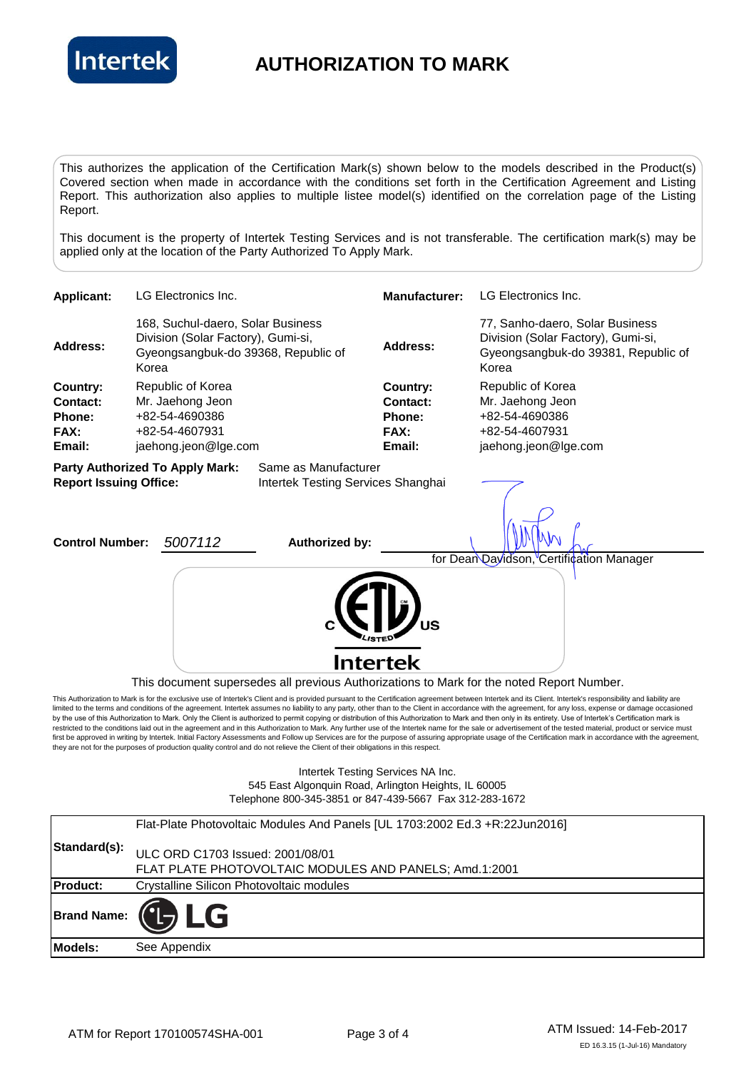

## **AUTHORIZATION TO MARK**

This authorizes the application of the Certification Mark(s) shown below to the models described in the Product(s) Covered section when made in accordance with the conditions set forth in the Certification Agreement and Listing Report. This authorization also applies to multiple listee model(s) identified on the correlation page of the Listing Report.

This document is the property of Intertek Testing Services and is not transferable. The certification mark(s) may be applied only at the location of the Party Authorized To Apply Mark.



545 East Algonquin Road, Arlington Heights, IL 60005 Telephone 800-345-3851 or 847-439-5667 Fax 312-283-1672

|                 | Flat-Plate Photovoltaic Modules And Panels [UL 1703:2002 Ed.3 +R:22Jun2016] |
|-----------------|-----------------------------------------------------------------------------|
| Standard(s):    | ULC ORD C1703 Issued: 2001/08/01                                            |
|                 | FLAT PLATE PHOTOVOLTAIC MODULES AND PANELS; Amd.1:2001                      |
| <b>Product:</b> | Crystalline Silicon Photovoltaic modules                                    |
|                 | $\mathsf{Brand Name: } \left( \mathsf{L} \right) \mathsf{LG}$               |
| Models:         | See Appendix                                                                |